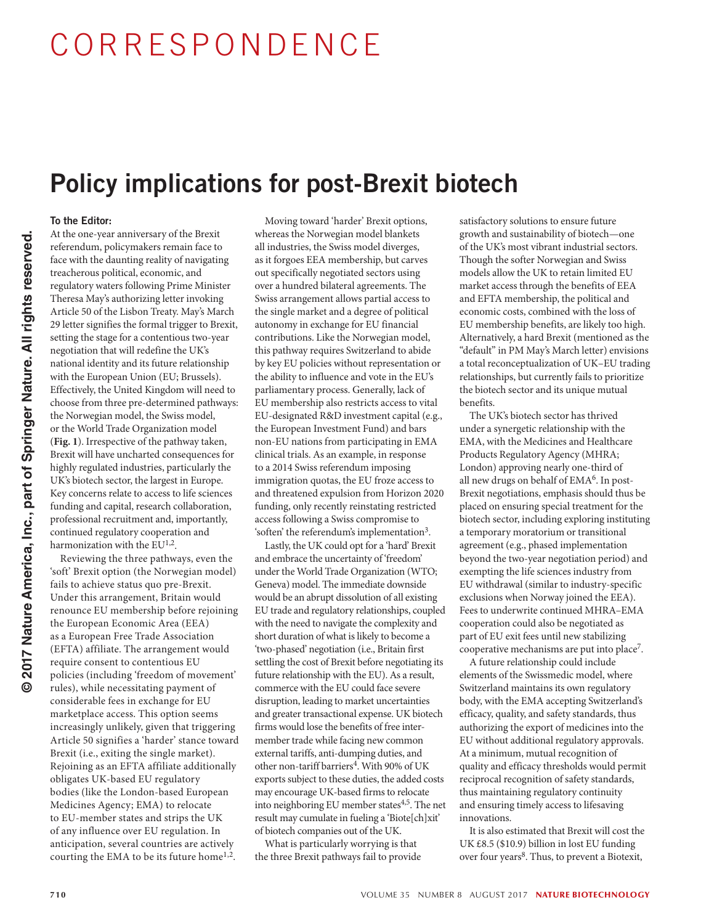# CORRESPONDENCE

## Policy implications for post-Brexit biotech

## To the Editor:

At the one-year anniversary of the Brexit referendum, policymakers remain face to face with the daunting reality of navigating treacherous political, economic, and regulatory waters following Prime Minister Theresa May's authorizing letter invoking Article 50 of the Lisbon Treaty. May's March 29 letter signifies the formal trigger to Brexit, setting the stage for a contentious two-year negotiation that will redefine the UK's national identity and its future relationship with the European Union (EU; Brussels). Effectively, the United Kingdom will need to choose from three pre-determined pathways: the Norwegian model, the Swiss model, or the World Trade Organization model (**Fig. 1**). Irrespective of the pathway taken, Brexit will have uncharted consequences for highly regulated industries, particularly the UK's biotech sector, the largest in Europe. Key concerns relate to access to life sciences funding and capital, research collaboration, professional recruitment and, importantly, continued regulatory cooperation and harmonization with the EU<sup>1,2</sup>.

Reviewing the three pathways, even the 'soft' Brexit option (the Norwegian model) fails to achieve status quo pre-Brexit. Under this arrangement, Britain would renounce EU membership before rejoining the European Economic Area (EEA) as a European Free Trade Association (EFTA) affiliate. The arrangement would require consent to contentious EU policies (including 'freedom of movement' rules), while necessitating payment of considerable fees in exchange for EU marketplace access. This option seems increasingly unlikely, given that triggering Article 50 signifies a 'harder' stance toward Brexit (i.e., exiting the single market). Rejoining as an EFTA affiliate additionally obligates UK-based EU regulatory bodies (like the London-based European Medicines Agency; EMA) to relocate to EU-member states and strips the UK of any influence over EU regulation. In anticipation, several countries are actively courting the EMA to be its future home<sup>1,2</sup>.

Moving toward 'harder' Brexit options, whereas the Norwegian model blankets all industries, the Swiss model diverges, as it forgoes EEA membership, but carves out specifically negotiated sectors using over a hundred bilateral agreements. The Swiss arrangement allows partial access to the single market and a degree of political autonomy in exchange for EU financial contributions. Like the Norwegian model, this pathway requires Switzerland to abide by key EU policies without representation or the ability to influence and vote in the EU's parliamentary process. Generally, lack of EU membership also restricts access to vital EU-designated R&D investment capital (e.g., the European Investment Fund) and bars non-EU nations from participating in EMA clinical trials. As an example, in response to a 2014 Swiss referendum imposing immigration quotas, the EU froze access to and threatened expulsion from Horizon 2020 funding, only recently reinstating restricted access following a Swiss compromise to 'soften' the referendum's implementation3.

Lastly, the UK could opt for a 'hard' Brexit and embrace the uncertainty of 'freedom' under the World Trade Organization (WTO; Geneva) model. The immediate downside would be an abrupt dissolution of all existing EU trade and regulatory relationships, coupled with the need to navigate the complexity and short duration of what is likely to become a 'two-phased' negotiation (i.e., Britain first settling the cost of Brexit before negotiating its future relationship with the EU). As a result, commerce with the EU could face severe disruption, leading to market uncertainties and greater transactional expense. UK biotech firms would lose the benefits of free intermember trade while facing new common external tariffs, anti-dumping duties, and other non-tariff barriers<sup>4</sup>. With 90% of UK exports subject to these duties, the added costs may encourage UK-based firms to relocate into neighboring EU member states<sup>4,5</sup>. The net result may cumulate in fueling a 'Biote[ch]xit' of biotech companies out of the UK.

What is particularly worrying is that the three Brexit pathways fail to provide

satisfactory solutions to ensure future growth and sustainability of biotech—one of the UK's most vibrant industrial sectors. Though the softer Norwegian and Swiss models allow the UK to retain limited EU market access through the benefits of EEA and EFTA membership, the political and economic costs, combined with the loss of EU membership benefits, are likely too high. Alternatively, a hard Brexit (mentioned as the "default" in PM May's March letter) envisions a total reconceptualization of UK–EU trading relationships, but currently fails to prioritize the biotech sector and its unique mutual benefits.

The UK's biotech sector has thrived under a synergetic relationship with the EMA, with the Medicines and Healthcare Products Regulatory Agency (MHRA; London) approving nearly one-third of all new drugs on behalf of EMA6. In post-Brexit negotiations, emphasis should thus be placed on ensuring special treatment for the biotech sector, including exploring instituting a temporary moratorium or transitional agreement (e.g., phased implementation beyond the two-year negotiation period) and exempting the life sciences industry from EU withdrawal (similar to industry-specific exclusions when Norway joined the EEA). Fees to underwrite continued MHRA–EMA cooperation could also be negotiated as part of EU exit fees until new stabilizing cooperative mechanisms are put into place7.

A future relationship could include elements of the Swissmedic model, where Switzerland maintains its own regulatory body, with the EMA accepting Switzerland's efficacy, quality, and safety standards, thus authorizing the export of medicines into the EU without additional regulatory approvals. At a minimum, mutual recognition of quality and efficacy thresholds would permit reciprocal recognition of safety standards, thus maintaining regulatory continuity and ensuring timely access to lifesaving innovations.

It is also estimated that Brexit will cost the UK £8.5 (\$10.9) billion in lost EU funding over four years<sup>8</sup>. Thus, to prevent a Biotexit,